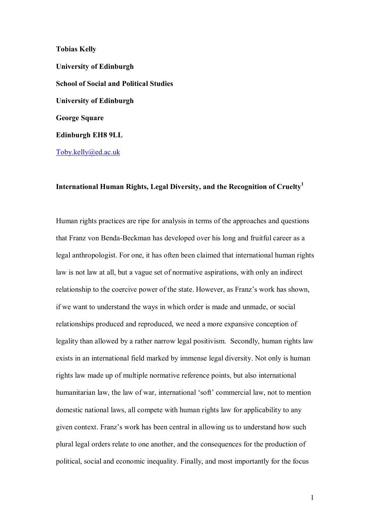**Tobias Kelly University of Edinburgh School of Social and Political Studies University of Edinburgh George Square Edinburgh EH8 9LL**  Toby.kelly@ed.ac.uk

# **International Human Rights, Legal Diversity, and the Recognition of Cruelty1**

Human rights practices are ripe for analysis in terms of the approaches and questions that Franz von Benda-Beckman has developed over his long and fruitful career as a legal anthropologist. For one, it has often been claimed that international human rights law is not law at all, but a vague set of normative aspirations, with only an indirect relationship to the coercive power of the state. However, as Franz's work has shown, if we want to understand the ways in which order is made and unmade, or social relationships produced and reproduced, we need a more expansive conception of legality than allowed by a rather narrow legal positivism. Secondly, human rights law exists in an international field marked by immense legal diversity. Not only is human rights law made up of multiple normative reference points, but also international humanitarian law, the law of war, international 'soft' commercial law, not to mention domestic national laws, all compete with human rights law for applicability to any given context. Franz's work has been central in allowing us to understand how such plural legal orders relate to one another, and the consequences for the production of political, social and economic inequality. Finally, and most importantly for the focus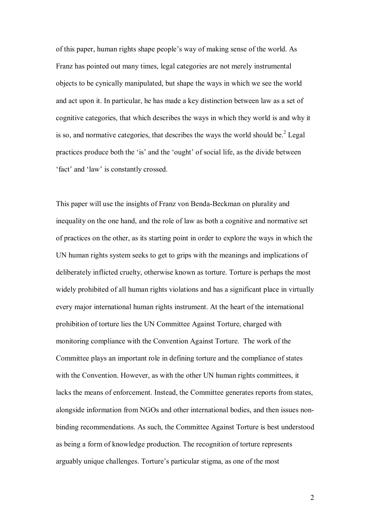of this paper, human rights shape people's way of making sense of the world. As Franz has pointed out many times, legal categories are not merely instrumental objects to be cynically manipulated, but shape the ways in which we see the world and act upon it. In particular, he has made a key distinction between law as a set of cognitive categories, that which describes the ways in which they world is and why it is so, and normative categories, that describes the ways the world should be. $2$  Legal practices produce both the 'is' and the 'ought' of social life, as the divide between 'fact' and 'law' is constantly crossed.

This paper will use the insights of Franz von Benda-Beckman on plurality and inequality on the one hand, and the role of law as both a cognitive and normative set of practices on the other, as its starting point in order to explore the ways in which the UN human rights system seeks to get to grips with the meanings and implications of deliberately inflicted cruelty, otherwise known as torture. Torture is perhaps the most widely prohibited of all human rights violations and has a significant place in virtually every major international human rights instrument. At the heart of the international prohibition of torture lies the UN Committee Against Torture, charged with monitoring compliance with the Convention Against Torture. The work of the Committee plays an important role in defining torture and the compliance of states with the Convention. However, as with the other UN human rights committees, it lacks the means of enforcement. Instead, the Committee generates reports from states, alongside information from NGOs and other international bodies, and then issues nonbinding recommendations. As such, the Committee Against Torture is best understood as being a form of knowledge production. The recognition of torture represents arguably unique challenges. Torture's particular stigma, as one of the most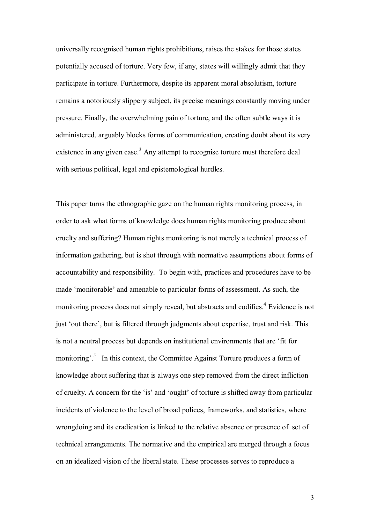universally recognised human rights prohibitions, raises the stakes for those states potentially accused of torture. Very few, if any, states will willingly admit that they participate in torture. Furthermore, despite its apparent moral absolutism, torture remains a notoriously slippery subject, its precise meanings constantly moving under pressure. Finally, the overwhelming pain of torture, and the often subtle ways it is administered, arguably blocks forms of communication, creating doubt about its very existence in any given case.<sup>3</sup> Any attempt to recognise torture must therefore deal with serious political, legal and epistemological hurdles.

This paper turns the ethnographic gaze on the human rights monitoring process, in order to ask what forms of knowledge does human rights monitoring produce about cruelty and suffering? Human rights monitoring is not merely a technical process of information gathering, but is shot through with normative assumptions about forms of accountability and responsibility. To begin with, practices and procedures have to be made 'monitorable' and amenable to particular forms of assessment. As such, the monitoring process does not simply reveal, but abstracts and codifies.<sup>4</sup> Evidence is not just 'out there', but is filtered through judgments about expertise, trust and risk. This is not a neutral process but depends on institutional environments that are 'fit for monitoring<sup>5</sup>. In this context, the Committee Against Torture produces a form of knowledge about suffering that is always one step removed from the direct infliction of cruelty. A concern for the 'is' and 'ought' of torture is shifted away from particular incidents of violence to the level of broad polices, frameworks, and statistics, where wrongdoing and its eradication is linked to the relative absence or presence of set of technical arrangements. The normative and the empirical are merged through a focus on an idealized vision of the liberal state. These processes serves to reproduce a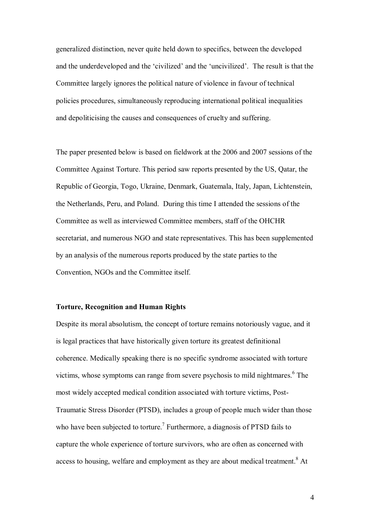generalized distinction, never quite held down to specifics, between the developed and the underdeveloped and the 'civilized' and the 'uncivilized'. The result is that the Committee largely ignores the political nature of violence in favour of technical policies procedures, simultaneously reproducing international political inequalities and depoliticising the causes and consequences of cruelty and suffering.

The paper presented below is based on fieldwork at the 2006 and 2007 sessions of the Committee Against Torture. This period saw reports presented by the US, Qatar, the Republic of Georgia, Togo, Ukraine, Denmark, Guatemala, Italy, Japan, Lichtenstein, the Netherlands, Peru, and Poland. During this time I attended the sessions of the Committee as well as interviewed Committee members, staff of the OHCHR secretariat, and numerous NGO and state representatives. This has been supplemented by an analysis of the numerous reports produced by the state parties to the Convention, NGOs and the Committee itself.

### **Torture, Recognition and Human Rights**

Despite its moral absolutism, the concept of torture remains notoriously vague, and it is legal practices that have historically given torture its greatest definitional coherence. Medically speaking there is no specific syndrome associated with torture victims, whose symptoms can range from severe psychosis to mild nightmares. $6$  The most widely accepted medical condition associated with torture victims, Post-Traumatic Stress Disorder (PTSD), includes a group of people much wider than those who have been subjected to torture.<sup>7</sup> Furthermore, a diagnosis of PTSD fails to capture the whole experience of torture survivors, who are often as concerned with access to housing, welfare and employment as they are about medical treatment.<sup>8</sup> At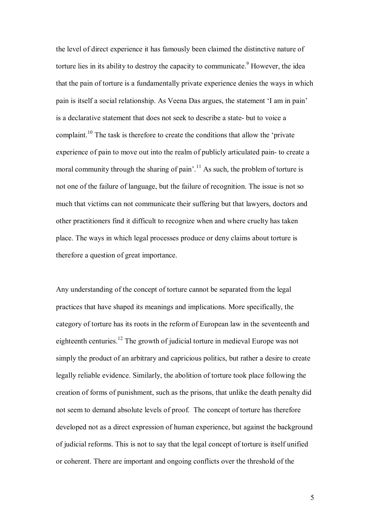the level of direct experience it has famously been claimed the distinctive nature of torture lies in its ability to destroy the capacity to communicate.<sup>9</sup> However, the idea that the pain of torture is a fundamentally private experience denies the ways in which pain is itself a social relationship. As Veena Das argues, the statement 'I am in pain' is a declarative statement that does not seek to describe a state- but to voice a complaint.<sup>10</sup> The task is therefore to create the conditions that allow the 'private' experience of pain to move out into the realm of publicly articulated pain- to create a moral community through the sharing of pain<sup> $11$ </sup>.<sup>11</sup> As such, the problem of torture is not one of the failure of language, but the failure of recognition. The issue is not so much that victims can not communicate their suffering but that lawyers, doctors and other practitioners find it difficult to recognize when and where cruelty has taken place. The ways in which legal processes produce or deny claims about torture is therefore a question of great importance.

Any understanding of the concept of torture cannot be separated from the legal practices that have shaped its meanings and implications. More specifically, the category of torture has its roots in the reform of European law in the seventeenth and eighteenth centuries.12 The growth of judicial torture in medieval Europe was not simply the product of an arbitrary and capricious politics, but rather a desire to create legally reliable evidence. Similarly, the abolition of torture took place following the creation of forms of punishment, such as the prisons, that unlike the death penalty did not seem to demand absolute levels of proof. The concept of torture has therefore developed not as a direct expression of human experience, but against the background of judicial reforms. This is not to say that the legal concept of torture is itself unified or coherent. There are important and ongoing conflicts over the threshold of the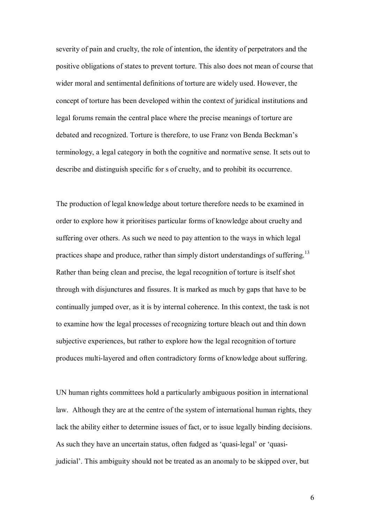severity of pain and cruelty, the role of intention, the identity of perpetrators and the positive obligations of states to prevent torture. This also does not mean of course that wider moral and sentimental definitions of torture are widely used. However, the concept of torture has been developed within the context of juridical institutions and legal forums remain the central place where the precise meanings of torture are debated and recognized. Torture is therefore, to use Franz von Benda Beckman's terminology, a legal category in both the cognitive and normative sense. It sets out to describe and distinguish specific for s of cruelty, and to prohibit its occurrence.

The production of legal knowledge about torture therefore needs to be examined in order to explore how it prioritises particular forms of knowledge about cruelty and suffering over others. As such we need to pay attention to the ways in which legal practices shape and produce, rather than simply distort understandings of suffering.<sup>13</sup> Rather than being clean and precise, the legal recognition of torture is itself shot through with disjunctures and fissures. It is marked as much by gaps that have to be continually jumped over, as it is by internal coherence. In this context, the task is not to examine how the legal processes of recognizing torture bleach out and thin down subjective experiences, but rather to explore how the legal recognition of torture produces multi-layered and often contradictory forms of knowledge about suffering.

UN human rights committees hold a particularly ambiguous position in international law. Although they are at the centre of the system of international human rights, they lack the ability either to determine issues of fact, or to issue legally binding decisions. As such they have an uncertain status, often fudged as 'quasi-legal' or 'quasijudicial<sup>7</sup>. This ambiguity should not be treated as an anomaly to be skipped over, but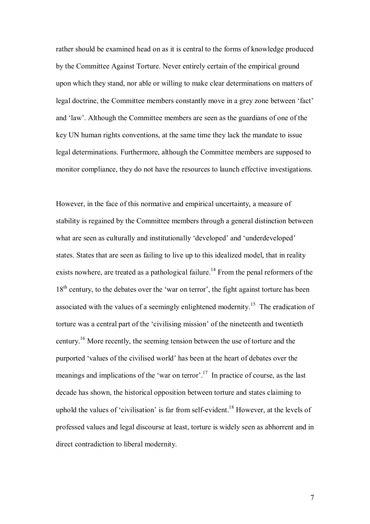rather should be examined head on as it is central to the forms of knowledge produced by the Committee Against Torture. Never entirely certain of the empirical ground upon which they stand, nor able or willing to make clear determinations on matters of legal doctrine, the Committee members constantly move in a grey zone between 'fact' and 'law'. Although the Committee members are seen as the guardians of one of the key UN human rights conventions, at the same time they lack the mandate to issue legal determinations. Furthermore, although the Committee members are supposed to monitor compliance, they do not have the resources to launch effective investigations.

However, in the face of this normative and empirical uncertainty, a measure of stability is regained by the Committee members through a general distinction between what are seen as culturally and institutionally 'developed' and 'underdeveloped' states. States that are seen as failing to live up to this idealized model, that in reality exists nowhere, are treated as a pathological failure.<sup>14</sup> From the penal reformers of the  $18<sup>th</sup>$  century, to the debates over the 'war on terror', the fight against torture has been associated with the values of a seemingly enlightened modernity.<sup>15</sup> The eradication of torture was a central part of the 'civilising mission' of the nineteenth and twentieth century.16 More recently, the seeming tension between the use of torture and the purported 'values of the civilised world' has been at the heart of debates over the meanings and implications of the 'war on terror'.<sup>17</sup> In practice of course, as the last decade has shown, the historical opposition between torture and states claiming to uphold the values of 'civilisation' is far from self-evident.<sup>18</sup> However, at the levels of professed values and legal discourse at least, torture is widely seen as abhorrent and in direct contradiction to liberal modernity.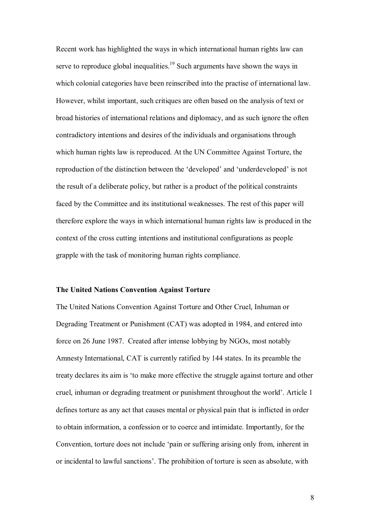Recent work has highlighted the ways in which international human rights law can serve to reproduce global inequalities.<sup>19</sup> Such arguments have shown the ways in which colonial categories have been reinscribed into the practise of international law. However, whilst important, such critiques are often based on the analysis of text or broad histories of international relations and diplomacy, and as such ignore the often contradictory intentions and desires of the individuals and organisations through which human rights law is reproduced. At the UN Committee Against Torture, the reproduction of the distinction between the 'developed' and 'underdeveloped' is not the result of a deliberate policy, but rather is a product of the political constraints faced by the Committee and its institutional weaknesses. The rest of this paper will therefore explore the ways in which international human rights law is produced in the context of the cross cutting intentions and institutional configurations as people grapple with the task of monitoring human rights compliance.

## **The United Nations Convention Against Torture**

The United Nations Convention Against Torture and Other Cruel, Inhuman or Degrading Treatment or Punishment (CAT) was adopted in 1984, and entered into force on 26 June 1987. Created after intense lobbying by NGOs, most notably Amnesty International, CAT is currently ratified by 144 states. In its preamble the treaty declares its aim is ëto make more effective the struggle against torture and other cruel, inhuman or degrading treatment or punishment throughout the world'. Article 1 defines torture as any act that causes mental or physical pain that is inflicted in order to obtain information, a confession or to coerce and intimidate. Importantly, for the Convention, torture does not include 'pain or suffering arising only from, inherent in or incidental to lawful sanctions'. The prohibition of torture is seen as absolute, with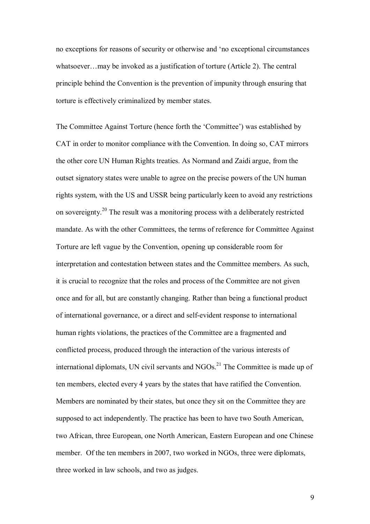no exceptions for reasons of security or otherwise and 'no exceptional circumstances whatsoever... may be invoked as a justification of torture (Article 2). The central principle behind the Convention is the prevention of impunity through ensuring that torture is effectively criminalized by member states.

The Committee Against Torture (hence forth the 'Committee') was established by CAT in order to monitor compliance with the Convention. In doing so, CAT mirrors the other core UN Human Rights treaties. As Normand and Zaidi argue, from the outset signatory states were unable to agree on the precise powers of the UN human rights system, with the US and USSR being particularly keen to avoid any restrictions on sovereignty.20 The result was a monitoring process with a deliberately restricted mandate. As with the other Committees, the terms of reference for Committee Against Torture are left vague by the Convention, opening up considerable room for interpretation and contestation between states and the Committee members. As such, it is crucial to recognize that the roles and process of the Committee are not given once and for all, but are constantly changing. Rather than being a functional product of international governance, or a direct and self-evident response to international human rights violations, the practices of the Committee are a fragmented and conflicted process, produced through the interaction of the various interests of international diplomats, UN civil servants and  $NGOs<sup>21</sup>$ . The Committee is made up of ten members, elected every 4 years by the states that have ratified the Convention. Members are nominated by their states, but once they sit on the Committee they are supposed to act independently. The practice has been to have two South American, two African, three European, one North American, Eastern European and one Chinese member. Of the ten members in 2007, two worked in NGOs, three were diplomats, three worked in law schools, and two as judges.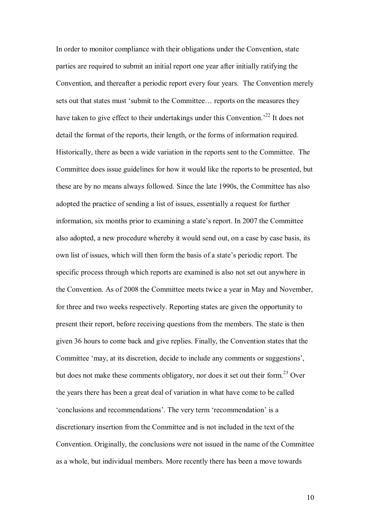In order to monitor compliance with their obligations under the Convention, state parties are required to submit an initial report one year after initially ratifying the Convention, and thereafter a periodic report every four years. The Convention merely sets out that states must 'submit to the Committee... reports on the measures they have taken to give effect to their undertakings under this Convention.<sup>22</sup> It does not detail the format of the reports, their length, or the forms of information required. Historically, there as been a wide variation in the reports sent to the Committee. The Committee does issue guidelines for how it would like the reports to be presented, but these are by no means always followed. Since the late 1990s, the Committee has also adopted the practice of sending a list of issues, essentially a request for further information, six months prior to examining a state's report. In 2007 the Committee also adopted, a new procedure whereby it would send out, on a case by case basis, its own list of issues, which will then form the basis of a state's periodic report. The specific process through which reports are examined is also not set out anywhere in the Convention. As of 2008 the Committee meets twice a year in May and November, for three and two weeks respectively. Reporting states are given the opportunity to present their report, before receiving questions from the members. The state is then given 36 hours to come back and give replies. Finally, the Convention states that the Committee 'may, at its discretion, decide to include any comments or suggestions'. but does not make these comments obligatory, nor does it set out their form.<sup>23</sup> Over the years there has been a great deal of variation in what have come to be called 'conclusions and recommendations'. The very term 'recommendation' is a discretionary insertion from the Committee and is not included in the text of the Convention. Originally, the conclusions were not issued in the name of the Committee as a whole, but individual members. More recently there has been a move towards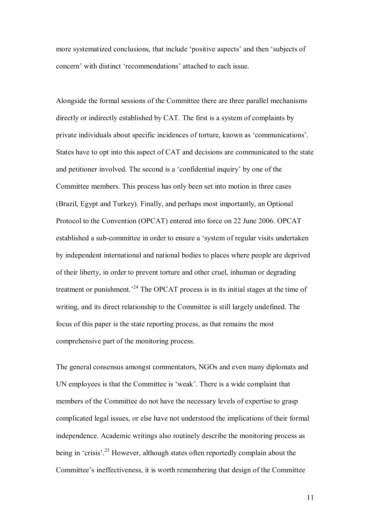more systematized conclusions, that include 'positive aspects' and then 'subjects of concern' with distinct 'recommendations' attached to each issue.

Alongside the formal sessions of the Committee there are three parallel mechanisms directly or indirectly established by CAT. The first is a system of complaints by private individuals about specific incidences of torture, known as 'communications'. States have to opt into this aspect of CAT and decisions are communicated to the state and petitioner involved. The second is a 'confidential inquiry' by one of the Committee members. This process has only been set into motion in three cases (Brazil, Egypt and Turkey). Finally, and perhaps most importantly, an Optional Protocol to the Convention (OPCAT) entered into force on 22 June 2006. OPCAT established a sub-committee in order to ensure a ësystem of regular visits undertaken by independent international and national bodies to places where people are deprived of their liberty, in order to prevent torture and other cruel, inhuman or degrading treatment or punishment.<sup>24</sup> The OPCAT process is in its initial stages at the time of writing, and its direct relationship to the Committee is still largely undefined. The focus of this paper is the state reporting process, as that remains the most comprehensive part of the monitoring process.

The general consensus amongst commentators, NGOs and even many diplomats and UN employees is that the Committee is 'weak'. There is a wide complaint that members of the Committee do not have the necessary levels of expertise to grasp complicated legal issues, or else have not understood the implications of their formal independence. Academic writings also routinely describe the monitoring process as being in 'crisis'.<sup>25</sup> However, although states often reportedly complain about the Committee's ineffectiveness, it is worth remembering that design of the Committee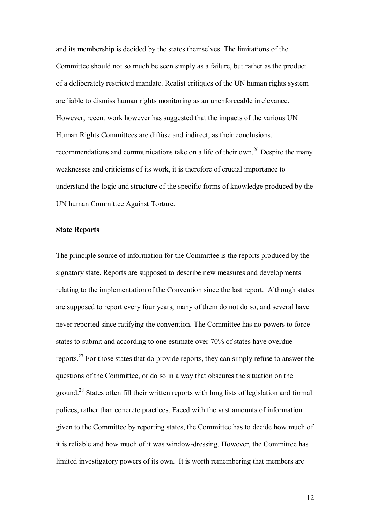and its membership is decided by the states themselves. The limitations of the Committee should not so much be seen simply as a failure, but rather as the product of a deliberately restricted mandate. Realist critiques of the UN human rights system are liable to dismiss human rights monitoring as an unenforceable irrelevance. However, recent work however has suggested that the impacts of the various UN Human Rights Committees are diffuse and indirect, as their conclusions, recommendations and communications take on a life of their own.<sup>26</sup> Despite the many weaknesses and criticisms of its work, it is therefore of crucial importance to understand the logic and structure of the specific forms of knowledge produced by the UN human Committee Against Torture.

## **State Reports**

The principle source of information for the Committee is the reports produced by the signatory state. Reports are supposed to describe new measures and developments relating to the implementation of the Convention since the last report. Although states are supposed to report every four years, many of them do not do so, and several have never reported since ratifying the convention. The Committee has no powers to force states to submit and according to one estimate over 70% of states have overdue reports.27 For those states that do provide reports, they can simply refuse to answer the questions of the Committee, or do so in a way that obscures the situation on the ground.28 States often fill their written reports with long lists of legislation and formal polices, rather than concrete practices. Faced with the vast amounts of information given to the Committee by reporting states, the Committee has to decide how much of it is reliable and how much of it was window-dressing. However, the Committee has limited investigatory powers of its own. It is worth remembering that members are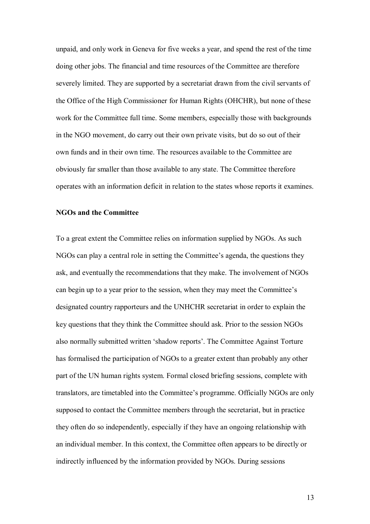unpaid, and only work in Geneva for five weeks a year, and spend the rest of the time doing other jobs. The financial and time resources of the Committee are therefore severely limited. They are supported by a secretariat drawn from the civil servants of the Office of the High Commissioner for Human Rights (OHCHR), but none of these work for the Committee full time. Some members, especially those with backgrounds in the NGO movement, do carry out their own private visits, but do so out of their own funds and in their own time. The resources available to the Committee are obviously far smaller than those available to any state. The Committee therefore operates with an information deficit in relation to the states whose reports it examines.

#### **NGOs and the Committee**

To a great extent the Committee relies on information supplied by NGOs. As such NGOs can play a central role in setting the Committee's agenda, the questions they ask, and eventually the recommendations that they make. The involvement of NGOs can begin up to a year prior to the session, when they may meet the Committee's designated country rapporteurs and the UNHCHR secretariat in order to explain the key questions that they think the Committee should ask. Prior to the session NGOs also normally submitted written 'shadow reports'. The Committee Against Torture has formalised the participation of NGOs to a greater extent than probably any other part of the UN human rights system. Formal closed briefing sessions, complete with translators, are timetabled into the Committee's programme. Officially NGOs are only supposed to contact the Committee members through the secretariat, but in practice they often do so independently, especially if they have an ongoing relationship with an individual member. In this context, the Committee often appears to be directly or indirectly influenced by the information provided by NGOs. During sessions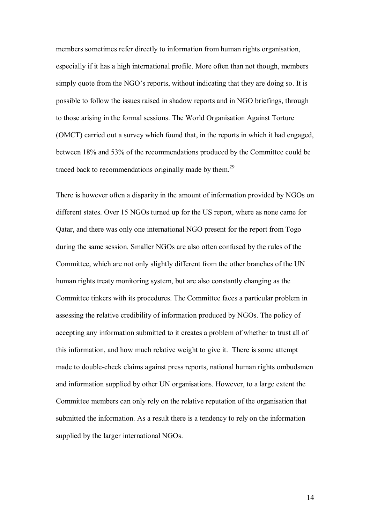members sometimes refer directly to information from human rights organisation, especially if it has a high international profile. More often than not though, members simply quote from the NGO's reports, without indicating that they are doing so. It is possible to follow the issues raised in shadow reports and in NGO briefings, through to those arising in the formal sessions. The World Organisation Against Torture (OMCT) carried out a survey which found that, in the reports in which it had engaged, between 18% and 53% of the recommendations produced by the Committee could be traced back to recommendations originally made by them.<sup>29</sup>

There is however often a disparity in the amount of information provided by NGOs on different states. Over 15 NGOs turned up for the US report, where as none came for Qatar, and there was only one international NGO present for the report from Togo during the same session. Smaller NGOs are also often confused by the rules of the Committee, which are not only slightly different from the other branches of the UN human rights treaty monitoring system, but are also constantly changing as the Committee tinkers with its procedures. The Committee faces a particular problem in assessing the relative credibility of information produced by NGOs. The policy of accepting any information submitted to it creates a problem of whether to trust all of this information, and how much relative weight to give it. There is some attempt made to double-check claims against press reports, national human rights ombudsmen and information supplied by other UN organisations. However, to a large extent the Committee members can only rely on the relative reputation of the organisation that submitted the information. As a result there is a tendency to rely on the information supplied by the larger international NGOs.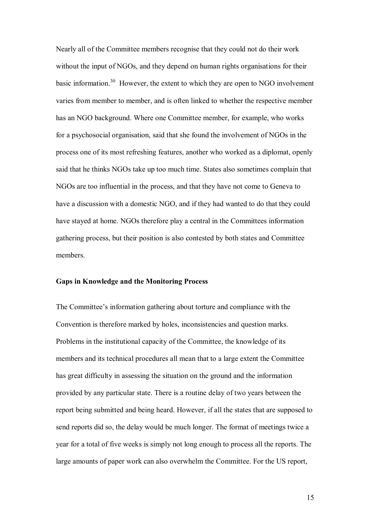Nearly all of the Committee members recognise that they could not do their work without the input of NGOs, and they depend on human rights organisations for their basic information.<sup>30</sup> However, the extent to which they are open to NGO involvement varies from member to member, and is often linked to whether the respective member has an NGO background. Where one Committee member, for example, who works for a psychosocial organisation, said that she found the involvement of NGOs in the process one of its most refreshing features, another who worked as a diplomat, openly said that he thinks NGOs take up too much time. States also sometimes complain that NGOs are too influential in the process, and that they have not come to Geneva to have a discussion with a domestic NGO, and if they had wanted to do that they could have stayed at home. NGOs therefore play a central in the Committees information gathering process, but their position is also contested by both states and Committee members.

#### **Gaps in Knowledge and the Monitoring Process**

The Committee's information gathering about torture and compliance with the Convention is therefore marked by holes, inconsistencies and question marks. Problems in the institutional capacity of the Committee, the knowledge of its members and its technical procedures all mean that to a large extent the Committee has great difficulty in assessing the situation on the ground and the information provided by any particular state. There is a routine delay of two years between the report being submitted and being heard. However, if all the states that are supposed to send reports did so, the delay would be much longer. The format of meetings twice a year for a total of five weeks is simply not long enough to process all the reports. The large amounts of paper work can also overwhelm the Committee. For the US report,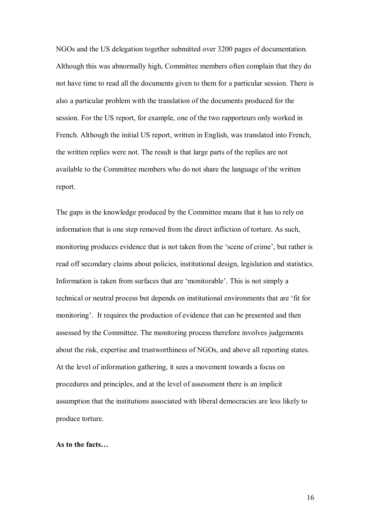NGOs and the US delegation together submitted over 3200 pages of documentation. Although this was abnormally high, Committee members often complain that they do not have time to read all the documents given to them for a particular session. There is also a particular problem with the translation of the documents produced for the session. For the US report, for example, one of the two rapporteurs only worked in French. Although the initial US report, written in English, was translated into French, the written replies were not. The result is that large parts of the replies are not available to the Committee members who do not share the language of the written report.

The gaps in the knowledge produced by the Committee means that it has to rely on information that is one step removed from the direct infliction of torture. As such, monitoring produces evidence that is not taken from the 'scene of crime', but rather is read off secondary claims about policies, institutional design, legislation and statistics. Information is taken from surfaces that are 'monitorable'. This is not simply a technical or neutral process but depends on institutional environments that are 'fit for monitoring'. It requires the production of evidence that can be presented and then assessed by the Committee. The monitoring process therefore involves judgements about the risk, expertise and trustworthiness of NGOs, and above all reporting states. At the level of information gathering, it sees a movement towards a focus on procedures and principles, and at the level of assessment there is an implicit assumption that the institutions associated with liberal democracies are less likely to produce torture.

#### As to the facts...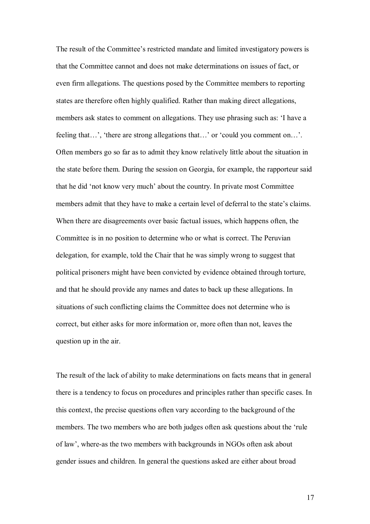The result of the Committee's restricted mandate and limited investigatory powers is that the Committee cannot and does not make determinations on issues of fact, or even firm allegations. The questions posed by the Committee members to reporting states are therefore often highly qualified. Rather than making direct allegations, members ask states to comment on allegations. They use phrasing such as: 'I have a feeling that $\ldots$ , 'there are strong allegations that $\ldots$ ' or 'could you comment on $\ldots$ '. Often members go so far as to admit they know relatively little about the situation in the state before them. During the session on Georgia, for example, the rapporteur said that he did 'not know very much' about the country. In private most Committee members admit that they have to make a certain level of deferral to the state's claims. When there are disagreements over basic factual issues, which happens often, the Committee is in no position to determine who or what is correct. The Peruvian delegation, for example, told the Chair that he was simply wrong to suggest that political prisoners might have been convicted by evidence obtained through torture, and that he should provide any names and dates to back up these allegations. In situations of such conflicting claims the Committee does not determine who is correct, but either asks for more information or, more often than not, leaves the question up in the air.

The result of the lack of ability to make determinations on facts means that in general there is a tendency to focus on procedures and principles rather than specific cases. In this context, the precise questions often vary according to the background of the members. The two members who are both judges often ask questions about the 'rule of lawí, where-as the two members with backgrounds in NGOs often ask about gender issues and children. In general the questions asked are either about broad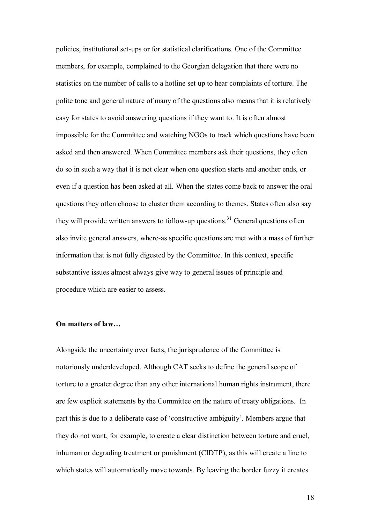policies, institutional set-ups or for statistical clarifications. One of the Committee members, for example, complained to the Georgian delegation that there were no statistics on the number of calls to a hotline set up to hear complaints of torture. The polite tone and general nature of many of the questions also means that it is relatively easy for states to avoid answering questions if they want to. It is often almost impossible for the Committee and watching NGOs to track which questions have been asked and then answered. When Committee members ask their questions, they often do so in such a way that it is not clear when one question starts and another ends, or even if a question has been asked at all. When the states come back to answer the oral questions they often choose to cluster them according to themes. States often also say they will provide written answers to follow-up questions.<sup>31</sup> General questions often also invite general answers, where-as specific questions are met with a mass of further information that is not fully digested by the Committee. In this context, specific substantive issues almost always give way to general issues of principle and procedure which are easier to assess.

# **On matters of law...**

Alongside the uncertainty over facts, the jurisprudence of the Committee is notoriously underdeveloped. Although CAT seeks to define the general scope of torture to a greater degree than any other international human rights instrument, there are few explicit statements by the Committee on the nature of treaty obligations. In part this is due to a deliberate case of 'constructive ambiguity'. Members argue that they do not want, for example, to create a clear distinction between torture and cruel, inhuman or degrading treatment or punishment (CIDTP), as this will create a line to which states will automatically move towards. By leaving the border fuzzy it creates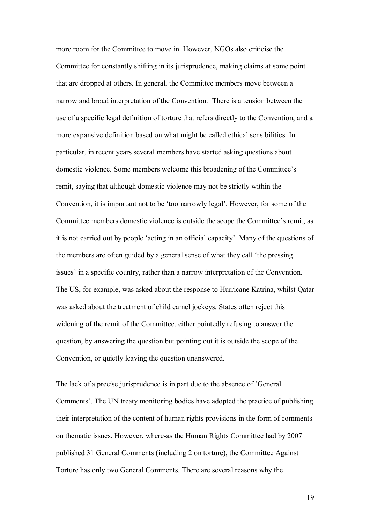more room for the Committee to move in. However, NGOs also criticise the Committee for constantly shifting in its jurisprudence, making claims at some point that are dropped at others. In general, the Committee members move between a narrow and broad interpretation of the Convention. There is a tension between the use of a specific legal definition of torture that refers directly to the Convention, and a more expansive definition based on what might be called ethical sensibilities. In particular, in recent years several members have started asking questions about domestic violence. Some members welcome this broadening of the Committee's remit, saying that although domestic violence may not be strictly within the Convention, it is important not to be 'too narrowly legal'. However, for some of the Committee members domestic violence is outside the scope the Committee's remit, as it is not carried out by people 'acting in an official capacity'. Many of the questions of the members are often guided by a general sense of what they call 'the pressing issues' in a specific country, rather than a narrow interpretation of the Convention. The US, for example, was asked about the response to Hurricane Katrina, whilst Qatar was asked about the treatment of child camel jockeys. States often reject this widening of the remit of the Committee, either pointedly refusing to answer the question, by answering the question but pointing out it is outside the scope of the Convention, or quietly leaving the question unanswered.

The lack of a precise jurisprudence is in part due to the absence of 'General Comments<sup>2</sup>. The UN treaty monitoring bodies have adopted the practice of publishing their interpretation of the content of human rights provisions in the form of comments on thematic issues. However, where-as the Human Rights Committee had by 2007 published 31 General Comments (including 2 on torture), the Committee Against Torture has only two General Comments. There are several reasons why the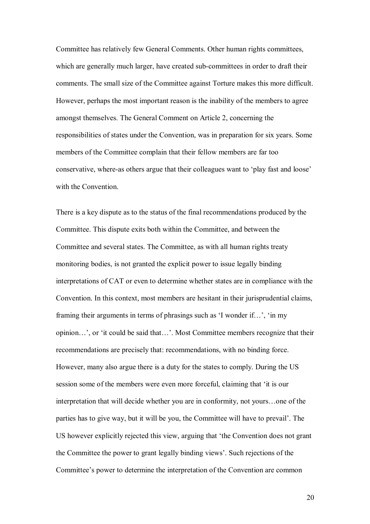Committee has relatively few General Comments. Other human rights committees, which are generally much larger, have created sub-committees in order to draft their comments. The small size of the Committee against Torture makes this more difficult. However, perhaps the most important reason is the inability of the members to agree amongst themselves. The General Comment on Article 2, concerning the responsibilities of states under the Convention, was in preparation for six years. Some members of the Committee complain that their fellow members are far too conservative, where-as others argue that their colleagues want to 'play fast and loose' with the Convention.

There is a key dispute as to the status of the final recommendations produced by the Committee. This dispute exits both within the Committee, and between the Committee and several states. The Committee, as with all human rights treaty monitoring bodies, is not granted the explicit power to issue legally binding interpretations of CAT or even to determine whether states are in compliance with the Convention. In this context, most members are hesitant in their jurisprudential claims, framing their arguments in terms of phrasings such as 'I wonder if...', 'in my opinion...', or 'it could be said that...'. Most Committee members recognize that their recommendations are precisely that: recommendations, with no binding force. However, many also argue there is a duty for the states to comply. During the US session some of the members were even more forceful, claiming that 'it is our interpretation that will decide whether you are in conformity, not yours...one of the parties has to give way, but it will be you, the Committee will have to prevail'. The US however explicitly rejected this view, arguing that 'the Convention does not grant the Committee the power to grant legally binding views'. Such rejections of the Committee's power to determine the interpretation of the Convention are common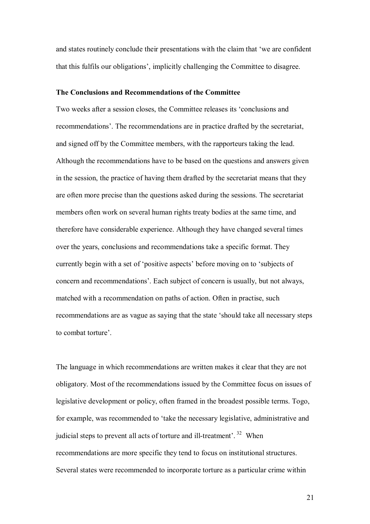and states routinely conclude their presentations with the claim that 'we are confident that this fulfils our obligations', implicitly challenging the Committee to disagree.

## **The Conclusions and Recommendations of the Committee**

Two weeks after a session closes, the Committee releases its ëconclusions and recommendations<sup>7</sup>. The recommendations are in practice drafted by the secretariat, and signed off by the Committee members, with the rapporteurs taking the lead. Although the recommendations have to be based on the questions and answers given in the session, the practice of having them drafted by the secretariat means that they are often more precise than the questions asked during the sessions. The secretariat members often work on several human rights treaty bodies at the same time, and therefore have considerable experience. Although they have changed several times over the years, conclusions and recommendations take a specific format. They currently begin with a set of 'positive aspects' before moving on to 'subjects of concern and recommendations'. Each subject of concern is usually, but not always, matched with a recommendation on paths of action. Often in practise, such recommendations are as vague as saying that the state 'should take all necessary steps to combat torture'.

The language in which recommendations are written makes it clear that they are not obligatory. Most of the recommendations issued by the Committee focus on issues of legislative development or policy, often framed in the broadest possible terms. Togo, for example, was recommended to 'take the necessary legislative, administrative and judicial steps to prevent all acts of torture and ill-treatment<sup> $2, 32$ </sup> When recommendations are more specific they tend to focus on institutional structures. Several states were recommended to incorporate torture as a particular crime within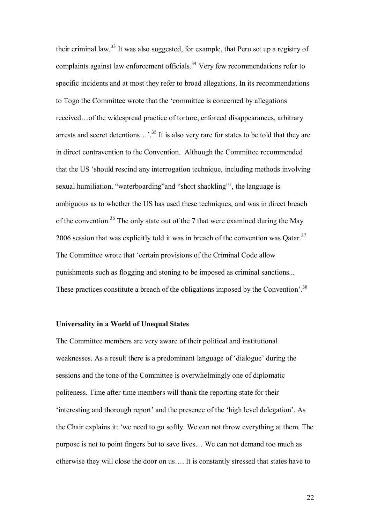their criminal law.33 It was also suggested, for example, that Peru set up a registry of complaints against law enforcement officials.<sup>34</sup> Very few recommendations refer to specific incidents and at most they refer to broad allegations. In its recommendations to Togo the Committee wrote that the ëcommittee is concerned by allegations received...of the widespread practice of torture, enforced disappearances, arbitrary arrests and secret detentions...,  $\frac{35}{15}$  It is also very rare for states to be told that they are in direct contravention to the Convention. Although the Committee recommended that the US ëshould rescind any interrogation technique, including methods involving sexual humiliation, "waterboarding" and "short shackling", the language is ambiguous as to whether the US has used these techniques, and was in direct breach of the convention.<sup>36</sup> The only state out of the 7 that were examined during the May 2006 session that was explicitly told it was in breach of the convention was  $Q \text{atar.}^{37}$ The Committee wrote that ëcertain provisions of the Criminal Code allow punishments such as flogging and stoning to be imposed as criminal sanctions... These practices constitute a breach of the obligations imposed by the Convention<sup> $38$ </sup>

## **Universality in a World of Unequal States**

The Committee members are very aware of their political and institutional weaknesses. As a result there is a predominant language of 'dialogue' during the sessions and the tone of the Committee is overwhelmingly one of diplomatic politeness. Time after time members will thank the reporting state for their interesting and thorough report and the presence of the 'high level delegation'. As the Chair explains it: ëwe need to go softly. We can not throw everything at them. The purpose is not to point fingers but to save lives... We can not demand too much as otherwise they will close the door on us.... It is constantly stressed that states have to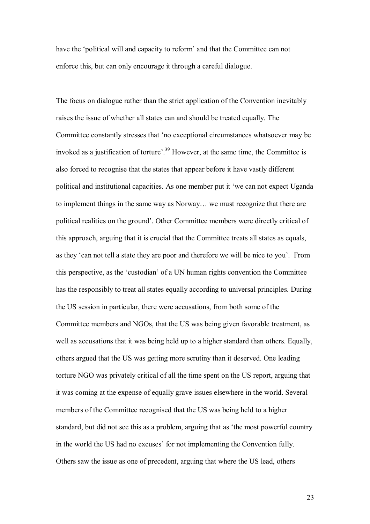have the 'political will and capacity to reform' and that the Committee can not enforce this, but can only encourage it through a careful dialogue.

The focus on dialogue rather than the strict application of the Convention inevitably raises the issue of whether all states can and should be treated equally. The Committee constantly stresses that 'no exceptional circumstances whatsoever may be invoked as a justification of torture'.<sup>39</sup> However, at the same time, the Committee is also forced to recognise that the states that appear before it have vastly different political and institutional capacities. As one member put it 'we can not expect Uganda to implement things in the same way as Norway... we must recognize that there are political realities on the ground'. Other Committee members were directly critical of this approach, arguing that it is crucial that the Committee treats all states as equals, as they 'can not tell a state they are poor and therefore we will be nice to you'. From this perspective, as the 'custodian' of a UN human rights convention the Committee has the responsibly to treat all states equally according to universal principles. During the US session in particular, there were accusations, from both some of the Committee members and NGOs, that the US was being given favorable treatment, as well as accusations that it was being held up to a higher standard than others. Equally, others argued that the US was getting more scrutiny than it deserved. One leading torture NGO was privately critical of all the time spent on the US report, arguing that it was coming at the expense of equally grave issues elsewhere in the world. Several members of the Committee recognised that the US was being held to a higher standard, but did not see this as a problem, arguing that as 'the most powerful country in the world the US had no excuses' for not implementing the Convention fully. Others saw the issue as one of precedent, arguing that where the US lead, others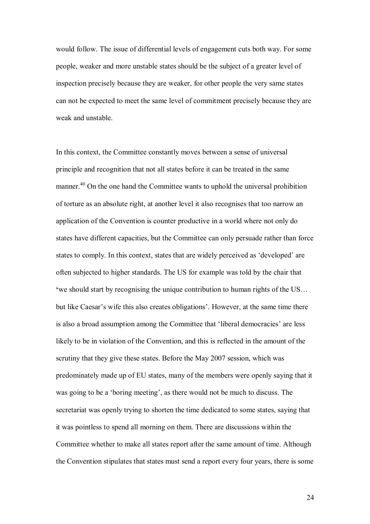would follow. The issue of differential levels of engagement cuts both way. For some people, weaker and more unstable states should be the subject of a greater level of inspection precisely because they are weaker, for other people the very same states can not be expected to meet the same level of commitment precisely because they are weak and unstable.

In this context, the Committee constantly moves between a sense of universal principle and recognition that not all states before it can be treated in the same manner.<sup>40</sup> On the one hand the Committee wants to uphold the universal prohibition of torture as an absolute right, at another level it also recognises that too narrow an application of the Convention is counter productive in a world where not only do states have different capacities, but the Committee can only persuade rather than force states to comply. In this context, states that are widely perceived as 'developed' are often subjected to higher standards. The US for example was told by the chair that **Eventual** start by recognising the unique contribution to human rights of the US... but like Caesar's wife this also creates obligations'. However, at the same time there is also a broad assumption among the Committee that 'liberal democracies' are less likely to be in violation of the Convention, and this is reflected in the amount of the scrutiny that they give these states. Before the May 2007 session, which was predominately made up of EU states, many of the members were openly saying that it was going to be a 'boring meeting', as there would not be much to discuss. The secretariat was openly trying to shorten the time dedicated to some states, saying that it was pointless to spend all morning on them. There are discussions within the Committee whether to make all states report after the same amount of time. Although the Convention stipulates that states must send a report every four years, there is some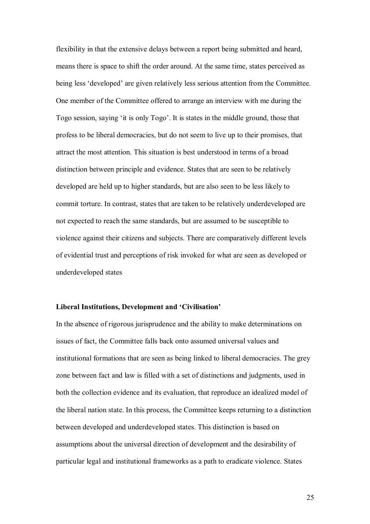flexibility in that the extensive delays between a report being submitted and heard, means there is space to shift the order around. At the same time, states perceived as being less 'developed' are given relatively less serious attention from the Committee. One member of the Committee offered to arrange an interview with me during the Togo session, saying 'it is only Togo'. It is states in the middle ground, those that profess to be liberal democracies, but do not seem to live up to their promises, that attract the most attention. This situation is best understood in terms of a broad distinction between principle and evidence. States that are seen to be relatively developed are held up to higher standards, but are also seen to be less likely to commit torture. In contrast, states that are taken to be relatively underdeveloped are not expected to reach the same standards, but are assumed to be susceptible to violence against their citizens and subjects. There are comparatively different levels of evidential trust and perceptions of risk invoked for what are seen as developed or underdeveloped states

#### Liberal Institutions, Development and 'Civilisation'

In the absence of rigorous jurisprudence and the ability to make determinations on issues of fact, the Committee falls back onto assumed universal values and institutional formations that are seen as being linked to liberal democracies. The grey zone between fact and law is filled with a set of distinctions and judgments, used in both the collection evidence and its evaluation, that reproduce an idealized model of the liberal nation state. In this process, the Committee keeps returning to a distinction between developed and underdeveloped states. This distinction is based on assumptions about the universal direction of development and the desirability of particular legal and institutional frameworks as a path to eradicate violence. States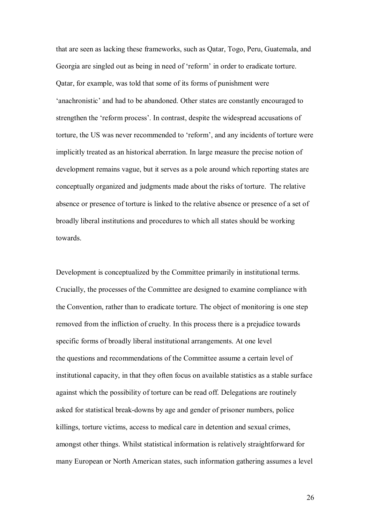that are seen as lacking these frameworks, such as Qatar, Togo, Peru, Guatemala, and Georgia are singled out as being in need of 'reform' in order to eradicate torture. Qatar, for example, was told that some of its forms of punishment were 'anachronistic' and had to be abandoned. Other states are constantly encouraged to strengthen the 'reform process'. In contrast, despite the widespread accusations of torture, the US was never recommended to 'reform', and any incidents of torture were implicitly treated as an historical aberration. In large measure the precise notion of development remains vague, but it serves as a pole around which reporting states are conceptually organized and judgments made about the risks of torture. The relative absence or presence of torture is linked to the relative absence or presence of a set of broadly liberal institutions and procedures to which all states should be working towards.

Development is conceptualized by the Committee primarily in institutional terms. Crucially, the processes of the Committee are designed to examine compliance with the Convention, rather than to eradicate torture. The object of monitoring is one step removed from the infliction of cruelty. In this process there is a prejudice towards specific forms of broadly liberal institutional arrangements. At one level the questions and recommendations of the Committee assume a certain level of institutional capacity, in that they often focus on available statistics as a stable surface against which the possibility of torture can be read off. Delegations are routinely asked for statistical break-downs by age and gender of prisoner numbers, police killings, torture victims, access to medical care in detention and sexual crimes, amongst other things. Whilst statistical information is relatively straightforward for many European or North American states, such information gathering assumes a level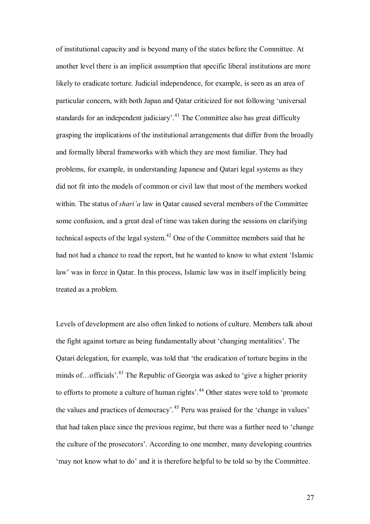of institutional capacity and is beyond many of the states before the Committee. At another level there is an implicit assumption that specific liberal institutions are more likely to eradicate torture. Judicial independence, for example, is seen as an area of particular concern, with both Japan and Oatar criticized for not following 'universal standards for an independent judiciary<sup> $1$ </sup>.<sup>41</sup> The Committee also has great difficulty grasping the implications of the institutional arrangements that differ from the broadly and formally liberal frameworks with which they are most familiar. They had problems, for example, in understanding Japanese and Qatari legal systems as they did not fit into the models of common or civil law that most of the members worked within. The status of *shari'a* law in Qatar caused several members of the Committee some confusion, and a great deal of time was taken during the sessions on clarifying technical aspects of the legal system.<sup>42</sup> One of the Committee members said that he had not had a chance to read the report, but he wanted to know to what extent 'Islamic law' was in force in Qatar. In this process, Islamic law was in itself implicitly being treated as a problem.

Levels of development are also often linked to notions of culture. Members talk about the fight against torture as being fundamentally about 'changing mentalities'. The Qatari delegation, for example, was told that ëthe eradication of torture begins in the minds of  $\ldots$  officials<sup> $2,43$ </sup>. The Republic of Georgia was asked to 'give a higher priority to efforts to promote a culture of human rights<sup>', 44</sup> Other states were told to 'promote the values and practices of democracy<sup> $1.45$ </sup> Peru was praised for the 'change in values' that had taken place since the previous regime, but there was a further need to 'change the culture of the prosecutors'. According to one member, many developing countries 'may not know what to do' and it is therefore helpful to be told so by the Committee.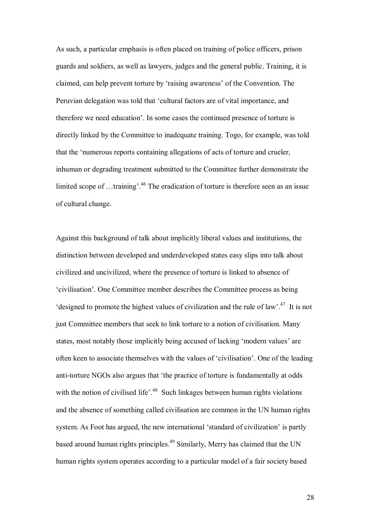As such, a particular emphasis is often placed on training of police officers, prison guards and soldiers, as well as lawyers, judges and the general public. Training, it is claimed, can help prevent torture by 'raising awareness' of the Convention. The Peruvian delegation was told that 'cultural factors are of vital importance, and therefore we need education'. In some cases the continued presence of torture is directly linked by the Committee to inadequate training. Togo, for example, was told that the ënumerous reports containing allegations of acts of torture and crueler, inhuman or degrading treatment submitted to the Committee further demonstrate the limited scope of  $\dots$ training<sup> $,46$ </sup> The eradication of torture is therefore seen as an issue of cultural change.

Against this background of talk about implicitly liberal values and institutions, the distinction between developed and underdeveloped states easy slips into talk about civilized and uncivilized, where the presence of torture is linked to absence of ëcivilisationí. One Committee member describes the Committee process as being 'designed to promote the highest values of civilization and the rule of law'.<sup>47</sup> It is not just Committee members that seek to link torture to a notion of civilisation. Many states, most notably those implicitly being accused of lacking 'modern values' are often keen to associate themselves with the values of 'civilisation'. One of the leading anti-torture NGOs also argues that 'the practice of torture is fundamentally at odds with the notion of civilised life<sup> $,48$ </sup> Such linkages between human rights violations and the absence of something called civilisation are common in the UN human rights system. As Foot has argued, the new international 'standard of civilization' is partly based around human rights principles.<sup>49</sup> Similarly, Merry has claimed that the UN human rights system operates according to a particular model of a fair society based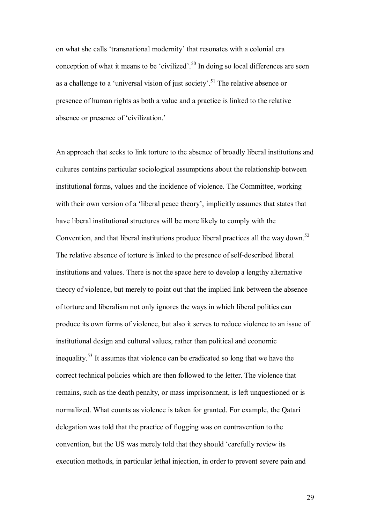on what she calls 'transnational modernity' that resonates with a colonial era conception of what it means to be 'civilized'.<sup>50</sup> In doing so local differences are seen as a challenge to a 'universal vision of just society'.<sup>51</sup> The relative absence or presence of human rights as both a value and a practice is linked to the relative absence or presence of 'civilization.'

An approach that seeks to link torture to the absence of broadly liberal institutions and cultures contains particular sociological assumptions about the relationship between institutional forms, values and the incidence of violence. The Committee, working with their own version of a 'liberal peace theory', implicitly assumes that states that have liberal institutional structures will be more likely to comply with the Convention, and that liberal institutions produce liberal practices all the way down.<sup>52</sup> The relative absence of torture is linked to the presence of self-described liberal institutions and values. There is not the space here to develop a lengthy alternative theory of violence, but merely to point out that the implied link between the absence of torture and liberalism not only ignores the ways in which liberal politics can produce its own forms of violence, but also it serves to reduce violence to an issue of institutional design and cultural values, rather than political and economic inequality.53 It assumes that violence can be eradicated so long that we have the correct technical policies which are then followed to the letter. The violence that remains, such as the death penalty, or mass imprisonment, is left unquestioned or is normalized. What counts as violence is taken for granted. For example, the Qatari delegation was told that the practice of flogging was on contravention to the convention, but the US was merely told that they should 'carefully review its execution methods, in particular lethal injection, in order to prevent severe pain and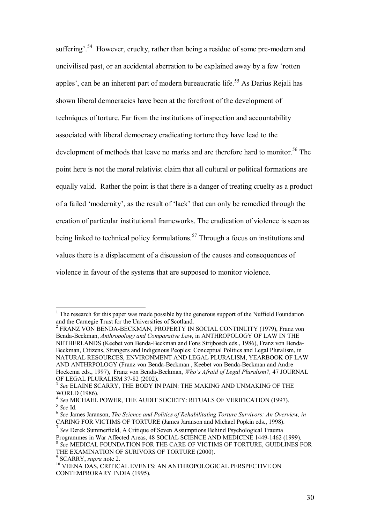suffering<sup> $54$ </sup> However, cruelty, rather than being a residue of some pre-modern and uncivilised past, or an accidental aberration to be explained away by a few ërotten apples<sup>'</sup>, can be an inherent part of modern bureaucratic life.<sup>55</sup> As Darius Rejali has shown liberal democracies have been at the forefront of the development of techniques of torture. Far from the institutions of inspection and accountability associated with liberal democracy eradicating torture they have lead to the development of methods that leave no marks and are therefore hard to monitor.<sup>56</sup> The point here is not the moral relativist claim that all cultural or political formations are equally valid. Rather the point is that there is a danger of treating cruelty as a product of a failed 'modernity', as the result of 'lack' that can only be remedied through the creation of particular institutional frameworks. The eradication of violence is seen as being linked to technical policy formulations.<sup>57</sup> Through a focus on institutions and values there is a displacement of a discussion of the causes and consequences of violence in favour of the systems that are supposed to monitor violence.

 $\overline{a}$ 

<sup>&</sup>lt;sup>1</sup> The research for this paper was made possible by the generous support of the Nuffield Foundation and the Carnegie Trust for the Universities of Scotland.

<sup>2</sup> FRANZ VON BENDA-BECKMAN, PROPERTY IN SOCIAL CONTINUITY (1979), Franz von Benda-Beckman, *Anthropology and Comparative Law*, in ANTHROPOLOGY OF LAW IN THE NETHERLANDS (Keebet von Benda-Beckman and Fons Strijbosch eds., 1986), Franz von Benda-Beckman, Citizens, Strangers and Indigenous Peoples: Conceptual Politics and Legal Pluralism, in NATURAL RESOURCES, ENVIRONMENT AND LEGAL PLURALISM, YEARBOOK OF LAW AND ANTHRPOLOGY (Franz von Benda-Beckman , Keebet von Benda-Beckman and Andre Hoekema eds., 1997), Franz von Benda-Beckman, *Whoís Afraid of Legal Pluralism?,* 47 JOURNAL OF LEGAL PLURALISM 37-82 (2002).

<sup>3</sup> *See* ELAINE SCARRY, THE BODY IN PAIN: THE MAKING AND UNMAKING OF THE WORLD (1986).<br><sup>4</sup> See MICHAEL POWER. THE AUDIT SOCIETY: RITUALS OF VERIFICATION (1997).

<sup>&</sup>lt;sup>5</sup> See Id.<br><sup>6</sup> See James Jaranson, *The Science and Politics of Rehabilitating Torture Survivors: An Overview, in* 

CARING FOR VICTIMS OF TORTURE (James Jaranson and Michael Popkin eds., 1998).

<sup>7</sup>*See* Derek Summerfield, A Critique of Seven Assumptions Behind Psychological Trauma Programmes in War Affected Areas, 48 SOCIAL SCIENCE AND MEDICINE 1449-1462 (1999).<br><sup>8</sup> See MEDICAL FOUNDATION FOR THE CARE OF VICTIMS OF TORTURE, GUIDLINES FOR THE EXAMINATION OF SURIVORS OF TORTURE (2000).

<sup>&</sup>lt;sup>9</sup> SCARRY, *supra* note 2.

<sup>&</sup>lt;sup>10</sup> VEENA DAS, CRITICAL EVENTS: AN ANTHROPOLOGICAL PERSPECTIVE ON CONTEMPRORARY INDIA (1995).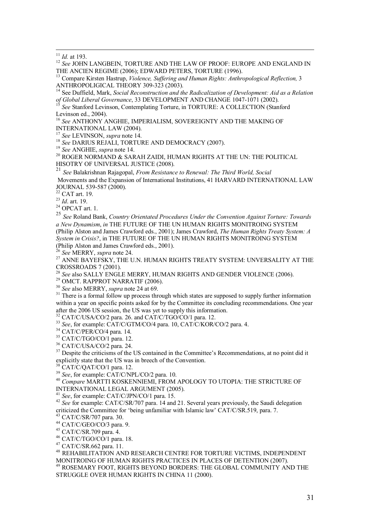<sup>11</sup> *Id.* at 193.<br><sup>12</sup> *See* JOHN LANGBEIN, TORTURE AND THE LAW OF PROOF: EUROPE AND ENGLAND IN THE ANCIEN REGIME (2006); EDWARD PETERS, TORTURE (1996).

<sup>13</sup> Compare Kirsten Hastrup, *Violence, Suffering and Human Rights: Anthropological Reflection*, 3 ANTHROPOLIGICAL THEORY 309-323 (2003).

<sup>14</sup> See Duffield, Mark, *Social Reconstruction and the Radicalization of Development: Aid as a Relation of Global Liberal Governance, 33 DEVELOPMENT AND CHANGE 1047-1071 (2002).* 

<sup>15</sup> See Stanford Levinson, Contemplating Torture, in TORTURE: A COLLECTION (Stanford Levinson ed., 2004).

<sup>16</sup> *See* ANTHONY ANGHIE, IMPERIALISM, SOVEREIGNTY AND THE MAKING OF

INTERNATIONAL LAW (2004).<br><sup>17</sup> See LEVINSON, *supra* note 14.

<sup>18</sup> See DARIUS REJALI, TORTURE AND DEMOCRACY (2007).<br><sup>19</sup> See ANGHIE, *supra* note 14.<br><sup>20</sup> ROGER NORMAND & SARAH ZAIDI, HUMAN RIGHTS AT THE UN: THE POLITICAL HISOTRY OF UNIVERSAL JUSTICE (2008).

<sup>21</sup> *See* Balakrishnan Rajagopal, *From Resistance to Renewal: The Third World, Social*  Movements and the Expansion of International Institutions, 41 HARVARD INTERNATIONAL LAW JOURNAL 539-587 (2000).

 $^{22}_{23}$  CAT art. 19.<br> $^{23}$  *Id.* art. 19.

<sup>24</sup> OPCAT art. 1.

<sup>25</sup> *See* Roland Bank, *Country Orientated Procedures Under the Convention Against Torture: Towards a New Dynamism*, *in* THE FUTURE OF THE UN HUMAN RIGHTS MONITROING SYSTEM (Philip Alston and James Crawford eds., 2001); James Crawford, *The Human Rights Treaty System: A System in Crisis?*, in THE FUTURE OF THE UN HUMAN RIGHTS MONITROING SYSTEM (Philip Alston and James Crawford eds., 2001).<br><sup>26</sup> See MERRY, supra note 24.

<sup>26</sup> *See* MERRY, *supra* note 24. 27 ANNE BAYEFSKY, THE U.N. HUMAN RIGHTS TREATY SYSTEM: UNVERSALITY AT THE CROSSROADS 7 (2001).

<sup>28</sup> *See* also SALLY ENGLE MERRY, HUMAN RIGHTS AND GENDER VIOLENCE (2006).<br><sup>29</sup> OMCT. RAPPROT NARRATIF (2006).<br><sup>30</sup> *See* also MERRY, *supra* note 24 at 69.

<sup>31</sup> There is a formal follow up process through which states are supposed to supply further information within a year on specific points asked for by the Committee its concluding recommendations. One year after the 2006 US session, the US was yet to supply this information.

 $32$  CAT/C/USA/CO/2 para. 26. and CAT/C/TGO/CO/1 para. 12.

<sup>33</sup> *See*, for example: CAT/C/GTM/CO/4 para. 10, CAT/C/KOR/CO/2 para. 4.<br><sup>34</sup> CAT/C/PER/CO/4 para. 14.

35 CAT/C/TGO/CO/1 para. 12.

 $36$  CAT/C/USA/CO/2 para. 24.

<sup>37</sup> Despite the criticisms of the US contained in the Committee's Recommendations, at no point did it explicitly state that the US was in breech of the Convention.<br><sup>38</sup> CAT/C/QAT/CO/1 para. 12.<br><sup>39</sup> See, for example: CAT/C/NPL/CO/2 para. 10.

<sup>40</sup> *Compare* MARTTI KOSKENNIEMI, FROM APOLOGY TO UTOPIA: THE STRICTURE OF INTERNATIONAL LEGAL ARGUMENT (2005).

<sup>41</sup> *See*, for example: CAT/C/JPN/CO/1 para. 15.<br><sup>42</sup> *See* for example: CAT/C/SR/707 para. 14 and 21. Several years previously, the Saudi delegation criticized the Committee for 'being unfamiliar with Islamic law' CAT/C/SR.519, para. 7.

43 CAT/C/SR/707 para. 30.

44 CAT/C/GEO/CO/3 para. 9.

45 CAT/C/SR.709 para. 4.

46 CAT/C/TGO/CO/1 para. 18.

47 CAT/C/SR.662 para. 11.

<sup>48</sup> REHABILITATION AND RESEARCH CENTRE FOR TORTURE VICTIMS, INDEPENDENT MONITROING OF HUMAN RIGHTS PRACTICES IN PLACES OF DETENTION (2007). 49 ROSEMARY FOOT, RIGHTS BEYOND BORDERS: THE GLOBAL COMMUNITY AND THE STRUGGLE OVER HUMAN RIGHTS IN CHINA 11 (2000).